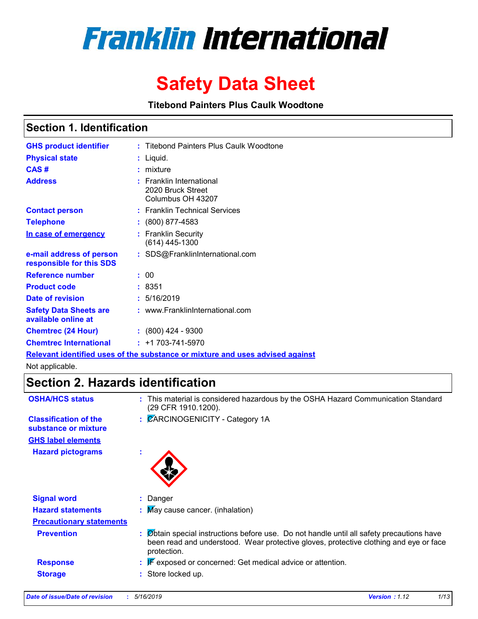

# **Safety Data Sheet**

**Titebond Painters Plus Caulk Woodtone**

### **Section 1. Identification**

| <b>GHS product identifier</b>                        | : Titebond Painters Plus Caulk Woodtone                                       |
|------------------------------------------------------|-------------------------------------------------------------------------------|
| <b>Physical state</b>                                | : Liquid.                                                                     |
| CAS#                                                 | $:$ mixture                                                                   |
| <b>Address</b>                                       | $:$ Franklin International<br>2020 Bruck Street<br>Columbus OH 43207          |
| <b>Contact person</b>                                | : Franklin Technical Services                                                 |
| <b>Telephone</b>                                     | $: (800) 877 - 4583$                                                          |
| In case of emergency                                 | : Franklin Security<br>$(614)$ 445-1300                                       |
| e-mail address of person<br>responsible for this SDS | : SDS@FranklinInternational.com                                               |
| <b>Reference number</b>                              | : 00                                                                          |
| <b>Product code</b>                                  | :8351                                                                         |
| Date of revision                                     | : 5/16/2019                                                                   |
| <b>Safety Data Sheets are</b><br>available online at | : www.FranklinInternational.com                                               |
| <b>Chemtrec (24 Hour)</b>                            | $\div$ (800) 424 - 9300                                                       |
| <b>Chemtrec International</b>                        | $: +1703 - 741 - 5970$                                                        |
|                                                      | Relevant identified uses of the substance or mixture and uses advised against |

Not applicable.

### **Section 2. Hazards identification**

| <b>OSHA/HCS status</b>                               | : This material is considered hazardous by the OSHA Hazard Communication Standard<br>(29 CFR 1910.1200).                                                                                          |
|------------------------------------------------------|---------------------------------------------------------------------------------------------------------------------------------------------------------------------------------------------------|
| <b>Classification of the</b><br>substance or mixture | : CARCINOGENICITY - Category 1A                                                                                                                                                                   |
| <b>GHS label elements</b>                            |                                                                                                                                                                                                   |
| <b>Hazard pictograms</b>                             | ×.                                                                                                                                                                                                |
| <b>Signal word</b>                                   | : Danger                                                                                                                                                                                          |
| <b>Hazard statements</b>                             | : May cause cancer. (inhalation)                                                                                                                                                                  |
| <b>Precautionary statements</b>                      |                                                                                                                                                                                                   |
| <b>Prevention</b>                                    | : Øbtain special instructions before use. Do not handle until all safety precautions have<br>been read and understood. Wear protective gloves, protective clothing and eye or face<br>protection. |
| <b>Response</b>                                      | $\mathbb{F}$ exposed or concerned: Get medical advice or attention.                                                                                                                               |
| <b>Storage</b>                                       | : Store locked up.                                                                                                                                                                                |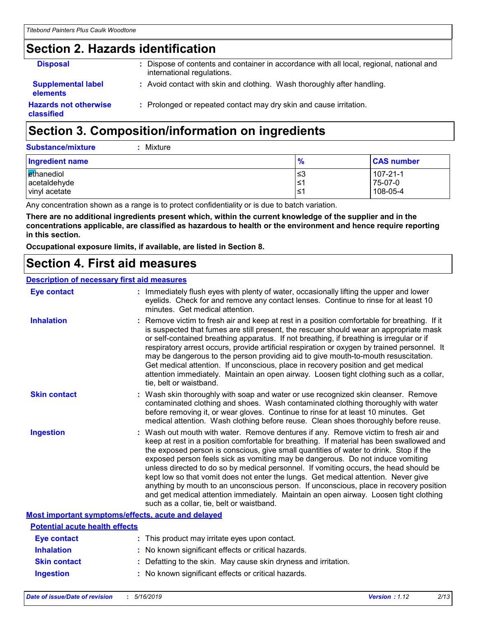# **Section 2. Hazards identification**

| <b>Disposal</b>                              | : Dispose of contents and container in accordance with all local, regional, national and<br>international regulations. |
|----------------------------------------------|------------------------------------------------------------------------------------------------------------------------|
| <b>Supplemental label</b><br><b>elements</b> | : Avoid contact with skin and clothing. Wash thoroughly after handling.                                                |
| <b>Hazards not otherwise</b><br>classified   | : Prolonged or repeated contact may dry skin and cause irritation.                                                     |

# **Section 3. Composition/information on ingredients**

| Ingredient name | $\frac{9}{6}$ | <b>CAS number</b> |
|-----------------|---------------|-------------------|
| ethanediol      | צ≥            | $107 - 21 - 1$    |
| acetaldehyde    | ∣≤1           | 75-07-0           |
| vinyl acetate   | 1≥،           | 108-05-4          |

Any concentration shown as a range is to protect confidentiality or is due to batch variation.

**There are no additional ingredients present which, within the current knowledge of the supplier and in the concentrations applicable, are classified as hazardous to health or the environment and hence require reporting in this section.**

**Occupational exposure limits, if available, are listed in Section 8.**

### **Section 4. First aid measures**

#### **Description of necessary first aid measures**

| <b>Eye contact</b>                                 | : Immediately flush eyes with plenty of water, occasionally lifting the upper and lower<br>eyelids. Check for and remove any contact lenses. Continue to rinse for at least 10<br>minutes. Get medical attention.                                                                                                                                                                                                                                                                                                                                                                                                                                                                                                                                                         |
|----------------------------------------------------|---------------------------------------------------------------------------------------------------------------------------------------------------------------------------------------------------------------------------------------------------------------------------------------------------------------------------------------------------------------------------------------------------------------------------------------------------------------------------------------------------------------------------------------------------------------------------------------------------------------------------------------------------------------------------------------------------------------------------------------------------------------------------|
| <b>Inhalation</b>                                  | : Remove victim to fresh air and keep at rest in a position comfortable for breathing. If it<br>is suspected that fumes are still present, the rescuer should wear an appropriate mask<br>or self-contained breathing apparatus. If not breathing, if breathing is irregular or if<br>respiratory arrest occurs, provide artificial respiration or oxygen by trained personnel. It<br>may be dangerous to the person providing aid to give mouth-to-mouth resuscitation.<br>Get medical attention. If unconscious, place in recovery position and get medical<br>attention immediately. Maintain an open airway. Loosen tight clothing such as a collar,<br>tie, belt or waistband.                                                                                       |
| <b>Skin contact</b>                                | : Wash skin thoroughly with soap and water or use recognized skin cleanser. Remove<br>contaminated clothing and shoes. Wash contaminated clothing thoroughly with water<br>before removing it, or wear gloves. Continue to rinse for at least 10 minutes. Get<br>medical attention. Wash clothing before reuse. Clean shoes thoroughly before reuse.                                                                                                                                                                                                                                                                                                                                                                                                                      |
| <b>Ingestion</b>                                   | : Wash out mouth with water. Remove dentures if any. Remove victim to fresh air and<br>keep at rest in a position comfortable for breathing. If material has been swallowed and<br>the exposed person is conscious, give small quantities of water to drink. Stop if the<br>exposed person feels sick as vomiting may be dangerous. Do not induce vomiting<br>unless directed to do so by medical personnel. If vomiting occurs, the head should be<br>kept low so that vomit does not enter the lungs. Get medical attention. Never give<br>anything by mouth to an unconscious person. If unconscious, place in recovery position<br>and get medical attention immediately. Maintain an open airway. Loosen tight clothing<br>such as a collar, tie, belt or waistband. |
| Most important symptoms/effects, acute and delayed |                                                                                                                                                                                                                                                                                                                                                                                                                                                                                                                                                                                                                                                                                                                                                                           |
| <b>Potential acute health effects</b>              |                                                                                                                                                                                                                                                                                                                                                                                                                                                                                                                                                                                                                                                                                                                                                                           |
| <b>Eye contact</b>                                 | : This product may irritate eyes upon contact.                                                                                                                                                                                                                                                                                                                                                                                                                                                                                                                                                                                                                                                                                                                            |
| <b>Inhalation</b>                                  | : No known significant effects or critical hazards.                                                                                                                                                                                                                                                                                                                                                                                                                                                                                                                                                                                                                                                                                                                       |
| <b>Skin contact</b>                                | : Defatting to the skin. May cause skin dryness and irritation.                                                                                                                                                                                                                                                                                                                                                                                                                                                                                                                                                                                                                                                                                                           |

**Ingestion :** No known significant effects or critical hazards.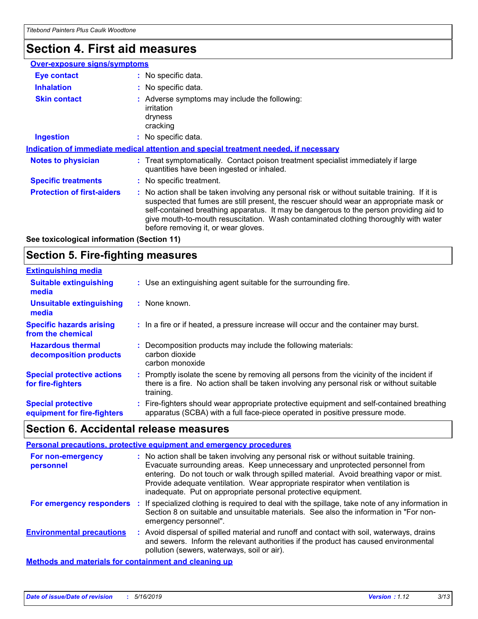# **Section 4. First aid measures**

| <b>Over-exposure signs/symptoms</b> |                                                                                                                                                                                                                                                                                                                                                                                                                 |
|-------------------------------------|-----------------------------------------------------------------------------------------------------------------------------------------------------------------------------------------------------------------------------------------------------------------------------------------------------------------------------------------------------------------------------------------------------------------|
| <b>Eye contact</b>                  | : No specific data.                                                                                                                                                                                                                                                                                                                                                                                             |
| <b>Inhalation</b>                   | : No specific data.                                                                                                                                                                                                                                                                                                                                                                                             |
| <b>Skin contact</b>                 | : Adverse symptoms may include the following:<br>irritation<br>dryness<br>cracking                                                                                                                                                                                                                                                                                                                              |
| <b>Ingestion</b>                    | : No specific data.                                                                                                                                                                                                                                                                                                                                                                                             |
|                                     | Indication of immediate medical attention and special treatment needed, if necessary                                                                                                                                                                                                                                                                                                                            |
| <b>Notes to physician</b>           | : Treat symptomatically. Contact poison treatment specialist immediately if large<br>quantities have been ingested or inhaled.                                                                                                                                                                                                                                                                                  |
| <b>Specific treatments</b>          | : No specific treatment.                                                                                                                                                                                                                                                                                                                                                                                        |
| <b>Protection of first-aiders</b>   | : No action shall be taken involving any personal risk or without suitable training. If it is<br>suspected that fumes are still present, the rescuer should wear an appropriate mask or<br>self-contained breathing apparatus. It may be dangerous to the person providing aid to<br>give mouth-to-mouth resuscitation. Wash contaminated clothing thoroughly with water<br>before removing it, or wear gloves. |

**See toxicological information (Section 11)**

### **Section 5. Fire-fighting measures**

| <b>Extinguishing media</b>                               |                                                                                                                                                                                                     |
|----------------------------------------------------------|-----------------------------------------------------------------------------------------------------------------------------------------------------------------------------------------------------|
| <b>Suitable extinguishing</b><br>media                   | : Use an extinguishing agent suitable for the surrounding fire.                                                                                                                                     |
| Unsuitable extinguishing<br>media                        | : None known.                                                                                                                                                                                       |
| <b>Specific hazards arising</b><br>from the chemical     | : In a fire or if heated, a pressure increase will occur and the container may burst.                                                                                                               |
| <b>Hazardous thermal</b><br>decomposition products       | Decomposition products may include the following materials:<br>carbon dioxide<br>carbon monoxide                                                                                                    |
| <b>Special protective actions</b><br>for fire-fighters   | : Promptly isolate the scene by removing all persons from the vicinity of the incident if<br>there is a fire. No action shall be taken involving any personal risk or without suitable<br>training. |
| <b>Special protective</b><br>equipment for fire-fighters | : Fire-fighters should wear appropriate protective equipment and self-contained breathing<br>apparatus (SCBA) with a full face-piece operated in positive pressure mode.                            |

### **Section 6. Accidental release measures**

#### **Personal precautions, protective equipment and emergency procedures**

| For non-emergency<br>personnel   | : No action shall be taken involving any personal risk or without suitable training.<br>Evacuate surrounding areas. Keep unnecessary and unprotected personnel from<br>entering. Do not touch or walk through spilled material. Avoid breathing vapor or mist.<br>Provide adequate ventilation. Wear appropriate respirator when ventilation is<br>inadequate. Put on appropriate personal protective equipment. |
|----------------------------------|------------------------------------------------------------------------------------------------------------------------------------------------------------------------------------------------------------------------------------------------------------------------------------------------------------------------------------------------------------------------------------------------------------------|
| For emergency responders         | : If specialized clothing is required to deal with the spillage, take note of any information in<br>Section 8 on suitable and unsuitable materials. See also the information in "For non-<br>emergency personnel".                                                                                                                                                                                               |
| <b>Environmental precautions</b> | : Avoid dispersal of spilled material and runoff and contact with soil, waterways, drains<br>and sewers. Inform the relevant authorities if the product has caused environmental<br>pollution (sewers, waterways, soil or air).                                                                                                                                                                                  |
|                                  |                                                                                                                                                                                                                                                                                                                                                                                                                  |

**Methods and materials for containment and cleaning up**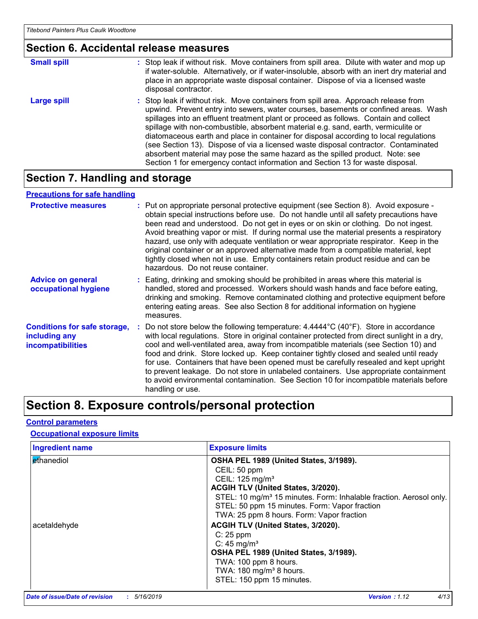#### **Section 6. Accidental release measures**

| <b>Small spill</b> | : Stop leak if without risk. Move containers from spill area. Dilute with water and mop up<br>if water-soluble. Alternatively, or if water-insoluble, absorb with an inert dry material and<br>place in an appropriate waste disposal container. Dispose of via a licensed waste<br>disposal contractor.                                                                                                                                                                                                                                                                                                                                                                                                     |
|--------------------|--------------------------------------------------------------------------------------------------------------------------------------------------------------------------------------------------------------------------------------------------------------------------------------------------------------------------------------------------------------------------------------------------------------------------------------------------------------------------------------------------------------------------------------------------------------------------------------------------------------------------------------------------------------------------------------------------------------|
| <b>Large spill</b> | : Stop leak if without risk. Move containers from spill area. Approach release from<br>upwind. Prevent entry into sewers, water courses, basements or confined areas. Wash<br>spillages into an effluent treatment plant or proceed as follows. Contain and collect<br>spillage with non-combustible, absorbent material e.g. sand, earth, vermiculite or<br>diatomaceous earth and place in container for disposal according to local regulations<br>(see Section 13). Dispose of via a licensed waste disposal contractor. Contaminated<br>absorbent material may pose the same hazard as the spilled product. Note: see<br>Section 1 for emergency contact information and Section 13 for waste disposal. |

### **Section 7. Handling and storage**

#### **Advice on general occupational hygiene Conditions for safe storage, including any incompatibilities** Eating, drinking and smoking should be prohibited in areas where this material is **:** handled, stored and processed. Workers should wash hands and face before eating, drinking and smoking. Remove contaminated clothing and protective equipment before entering eating areas. See also Section 8 for additional information on hygiene measures. Do not store below the following temperature: 4.4444°C (40°F). Store in accordance **:** with local regulations. Store in original container protected from direct sunlight in a dry, cool and well-ventilated area, away from incompatible materials (see Section 10) and food and drink. Store locked up. Keep container tightly closed and sealed until ready for use. Containers that have been opened must be carefully resealed and kept upright to prevent leakage. Do not store in unlabeled containers. Use appropriate containment to avoid environmental contamination. See Section 10 for incompatible materials before handling or use. **Protective measures** : Put on appropriate personal protective equipment (see Section 8). Avoid exposure obtain special instructions before use. Do not handle until all safety precautions have been read and understood. Do not get in eyes or on skin or clothing. Do not ingest. Avoid breathing vapor or mist. If during normal use the material presents a respiratory hazard, use only with adequate ventilation or wear appropriate respirator. Keep in the original container or an approved alternative made from a compatible material, kept tightly closed when not in use. Empty containers retain product residue and can be hazardous. Do not reuse container. **Precautions for safe handling**

### **Section 8. Exposure controls/personal protection**

#### **Control parameters**

#### **Occupational exposure limits**

| <b>Ingredient name</b> | <b>Exposure limits</b>                                                         |
|------------------------|--------------------------------------------------------------------------------|
| Ethanediol             | OSHA PEL 1989 (United States, 3/1989).                                         |
|                        | CEIL: 50 ppm                                                                   |
|                        | CEIL: 125 mg/m <sup>3</sup>                                                    |
|                        | ACGIH TLV (United States, 3/2020).                                             |
|                        | STEL: 10 mg/m <sup>3</sup> 15 minutes. Form: Inhalable fraction. Aerosol only. |
|                        | STEL: 50 ppm 15 minutes. Form: Vapor fraction                                  |
|                        | TWA: 25 ppm 8 hours. Form: Vapor fraction                                      |
| acetaldehyde           | ACGIH TLV (United States, 3/2020).                                             |
|                        | $C: 25$ ppm                                                                    |
|                        | C: $45 \text{ mg/m}^3$                                                         |
|                        | OSHA PEL 1989 (United States, 3/1989).                                         |
|                        | TWA: 100 ppm 8 hours.                                                          |
|                        | TWA: $180 \text{ mg/m}^3$ 8 hours.                                             |
|                        | STEL: 150 ppm 15 minutes.                                                      |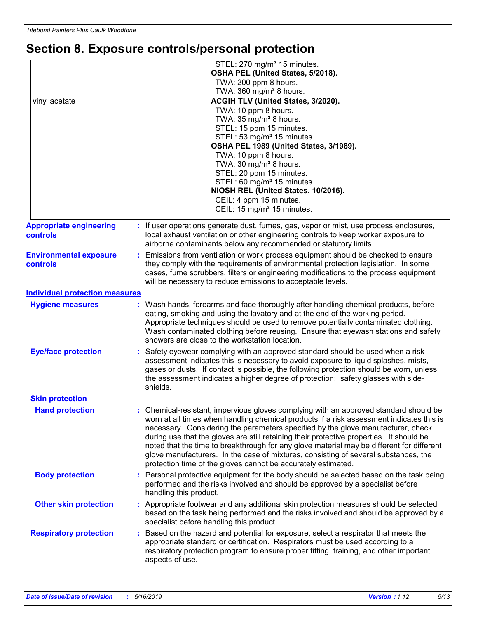# **Section 8. Exposure controls/personal protection**

| vinyl acetate                                     | STEL: 270 mg/m <sup>3</sup> 15 minutes.<br>OSHA PEL (United States, 5/2018).<br>TWA: 200 ppm 8 hours.<br>TWA: 360 mg/m <sup>3</sup> 8 hours.<br>ACGIH TLV (United States, 3/2020).<br>TWA: 10 ppm 8 hours.<br>TWA: 35 mg/m <sup>3</sup> 8 hours.<br>STEL: 15 ppm 15 minutes.<br>STEL: 53 mg/m <sup>3</sup> 15 minutes.<br>OSHA PEL 1989 (United States, 3/1989).<br>TWA: 10 ppm 8 hours.<br>TWA: 30 mg/m <sup>3</sup> 8 hours.<br>STEL: 20 ppm 15 minutes.<br>STEL: 60 mg/m <sup>3</sup> 15 minutes.<br>NIOSH REL (United States, 10/2016).<br>CEIL: 4 ppm 15 minutes.<br>CEIL: 15 mg/m <sup>3</sup> 15 minutes.     |  |
|---------------------------------------------------|----------------------------------------------------------------------------------------------------------------------------------------------------------------------------------------------------------------------------------------------------------------------------------------------------------------------------------------------------------------------------------------------------------------------------------------------------------------------------------------------------------------------------------------------------------------------------------------------------------------------|--|
| <b>Appropriate engineering</b><br><b>controls</b> | : If user operations generate dust, fumes, gas, vapor or mist, use process enclosures,<br>local exhaust ventilation or other engineering controls to keep worker exposure to<br>airborne contaminants below any recommended or statutory limits.                                                                                                                                                                                                                                                                                                                                                                     |  |
| <b>Environmental exposure</b><br><b>controls</b>  | Emissions from ventilation or work process equipment should be checked to ensure<br>they comply with the requirements of environmental protection legislation. In some<br>cases, fume scrubbers, filters or engineering modifications to the process equipment<br>will be necessary to reduce emissions to acceptable levels.                                                                                                                                                                                                                                                                                        |  |
| <b>Individual protection measures</b>             |                                                                                                                                                                                                                                                                                                                                                                                                                                                                                                                                                                                                                      |  |
| <b>Hygiene measures</b>                           | Wash hands, forearms and face thoroughly after handling chemical products, before<br>eating, smoking and using the lavatory and at the end of the working period.<br>Appropriate techniques should be used to remove potentially contaminated clothing.<br>Wash contaminated clothing before reusing. Ensure that eyewash stations and safety<br>showers are close to the workstation location.                                                                                                                                                                                                                      |  |
| <b>Eye/face protection</b>                        | Safety eyewear complying with an approved standard should be used when a risk<br>assessment indicates this is necessary to avoid exposure to liquid splashes, mists,<br>gases or dusts. If contact is possible, the following protection should be worn, unless<br>the assessment indicates a higher degree of protection: safety glasses with side-<br>shields.                                                                                                                                                                                                                                                     |  |
| <b>Skin protection</b>                            |                                                                                                                                                                                                                                                                                                                                                                                                                                                                                                                                                                                                                      |  |
| <b>Hand protection</b>                            | Chemical-resistant, impervious gloves complying with an approved standard should be<br>worn at all times when handling chemical products if a risk assessment indicates this is<br>necessary. Considering the parameters specified by the glove manufacturer, check<br>during use that the gloves are still retaining their protective properties. It should be<br>noted that the time to breakthrough for any glove material may be different for different<br>glove manufacturers. In the case of mixtures, consisting of several substances, the<br>protection time of the gloves cannot be accurately estimated. |  |
| <b>Body protection</b>                            | : Personal protective equipment for the body should be selected based on the task being<br>performed and the risks involved and should be approved by a specialist before<br>handling this product.                                                                                                                                                                                                                                                                                                                                                                                                                  |  |
| <b>Other skin protection</b>                      | : Appropriate footwear and any additional skin protection measures should be selected<br>based on the task being performed and the risks involved and should be approved by a<br>specialist before handling this product.                                                                                                                                                                                                                                                                                                                                                                                            |  |
| <b>Respiratory protection</b>                     | Based on the hazard and potential for exposure, select a respirator that meets the<br>appropriate standard or certification. Respirators must be used according to a<br>respiratory protection program to ensure proper fitting, training, and other important<br>aspects of use.                                                                                                                                                                                                                                                                                                                                    |  |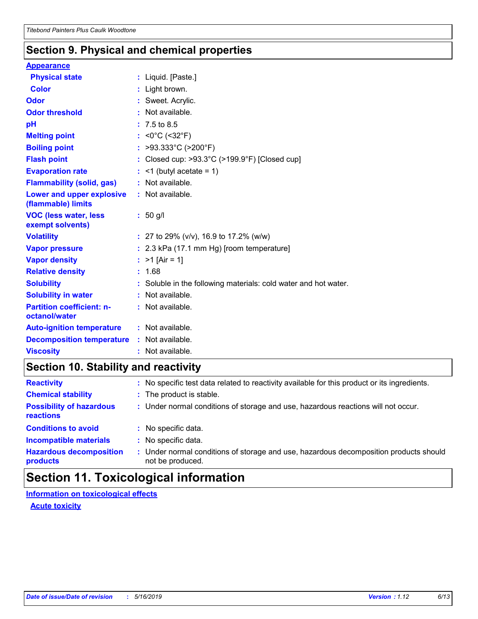### **Section 9. Physical and chemical properties**

#### **Appearance**

| <b>Physical state</b>                             | : Liquid. [Paste.]                                              |
|---------------------------------------------------|-----------------------------------------------------------------|
| <b>Color</b>                                      | : Light brown.                                                  |
| Odor                                              | : Sweet. Acrylic.                                               |
| <b>Odor threshold</b>                             | : Not available.                                                |
| pH                                                | $: 7.5 \text{ to } 8.5$                                         |
| <b>Melting point</b>                              | : $<0^{\circ}$ C (<32 $^{\circ}$ F)                             |
| <b>Boiling point</b>                              | : >93.333°C (>200°F)                                            |
| <b>Flash point</b>                                | : Closed cup: >93.3°C (>199.9°F) [Closed cup]                   |
| <b>Evaporation rate</b>                           | $:$ <1 (butyl acetate = 1)                                      |
| <b>Flammability (solid, gas)</b>                  | : Not available.                                                |
| Lower and upper explosive<br>(flammable) limits   | : Not available.                                                |
| <b>VOC (less water, less)</b><br>exempt solvents) | $: 50$ g/l                                                      |
| <b>Volatility</b>                                 | : 27 to 29% ( $v/v$ ), 16.9 to 17.2% ( $w/w$ )                  |
| <b>Vapor pressure</b>                             | $: 2.3$ kPa (17.1 mm Hg) [room temperature]                     |
| <b>Vapor density</b>                              | : $>1$ [Air = 1]                                                |
| <b>Relative density</b>                           | : 1.68                                                          |
| <b>Solubility</b>                                 | : Soluble in the following materials: cold water and hot water. |
| <b>Solubility in water</b>                        | Not available.                                                  |
| <b>Partition coefficient: n-</b><br>octanol/water | : Not available.                                                |
| <b>Auto-ignition temperature</b>                  | : Not available.                                                |
| <b>Decomposition temperature</b>                  | : Not available.                                                |
| <b>Viscosity</b>                                  | : Not available.                                                |

### **Section 10. Stability and reactivity**

| <b>Reactivity</b>                            | : No specific test data related to reactivity available for this product or its ingredients.            |
|----------------------------------------------|---------------------------------------------------------------------------------------------------------|
| <b>Chemical stability</b>                    | : The product is stable.                                                                                |
| <b>Possibility of hazardous</b><br>reactions | : Under normal conditions of storage and use, hazardous reactions will not occur.                       |
| <b>Conditions to avoid</b>                   | : No specific data.                                                                                     |
| <b>Incompatible materials</b>                | No specific data.                                                                                       |
| <b>Hazardous decomposition</b><br>products   | Under normal conditions of storage and use, hazardous decomposition products should<br>not be produced. |

# **Section 11. Toxicological information**

**Information on toxicological effects**

**Acute toxicity**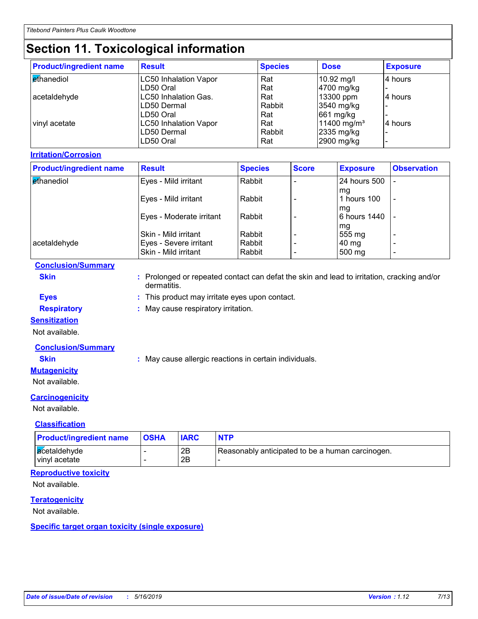# **Section 11. Toxicological information**

| <b>Product/ingredient name</b> | <b>Result</b>                | <b>Species</b> | <b>Dose</b>             | <b>Exposure</b> |
|--------------------------------|------------------------------|----------------|-------------------------|-----------------|
| <b>Ethanediol</b>              | <b>LC50 Inhalation Vapor</b> | Rat            | 10.92 mg/l              | 4 hours         |
|                                | LD50 Oral                    | Rat            | 4700 mg/kg              |                 |
| acetaldehyde                   | LC50 Inhalation Gas.         | Rat            | 13300 ppm               | l4 hours        |
|                                | LD50 Dermal                  | Rabbit         | 3540 mg/kg              |                 |
|                                | LD50 Oral                    | Rat            | 661 mg/kg               |                 |
| vinyl acetate                  | <b>LC50 Inhalation Vapor</b> | Rat            | 11400 mg/m <sup>3</sup> | 14 hours        |
|                                | LD50 Dermal                  | Rabbit         | 2335 mg/kg              |                 |
|                                | LD50 Oral                    | Rat            | 2900 mg/kg              |                 |

#### **Irritation/Corrosion**

| <b>Product/ingredient name</b> | <b>Result</b>            | <b>Species</b> | <b>Score</b> | <b>Exposure</b>    | <b>Observation</b>       |
|--------------------------------|--------------------------|----------------|--------------|--------------------|--------------------------|
| ethanediol                     | Eyes - Mild irritant     | Rabbit         |              | 24 hours 500       |                          |
|                                | Eyes - Mild irritant     | Rabbit         |              | mq<br>hours 100    | $\overline{\phantom{a}}$ |
|                                | Eyes - Moderate irritant | Rabbit         |              | mq<br>6 hours 1440 |                          |
|                                | Skin - Mild irritant     | Rabbit         |              | mg<br>555 mg       |                          |
| acetaldehyde                   | Eyes - Severe irritant   | Rabbit         |              | 40 mg              | $\overline{\phantom{0}}$ |
|                                | Skin - Mild irritant     | Rabbit         |              | 500 mg             | $\overline{\phantom{0}}$ |

#### **Conclusion/Summary**

**Skin :** Prolonged or repeated contact can defat the skin and lead to irritation, cracking and/or dermatitis.

**Eyes :** This product may irritate eyes upon contact.

**Respiratory :** May cause respiratory irritation.

#### **Sensitization**

Not available.

#### **Conclusion/Summary**

**Skin :** May cause allergic reactions in certain individuals.

#### **Mutagenicity**

Not available.

#### **Carcinogenicity**

Not available.

#### **Classification**

| <b>Product/ingredient name</b> | <b>OSHA</b> |          | <b>NTP</b>                                       |
|--------------------------------|-------------|----------|--------------------------------------------------|
| acetaldehyde<br>vinyl acetate  |             | 2Β<br>2Β | Reasonably anticipated to be a human carcinogen. |

#### **Reproductive toxicity**

Not available.

#### **Teratogenicity**

Not available.

#### **Specific target organ toxicity (single exposure)**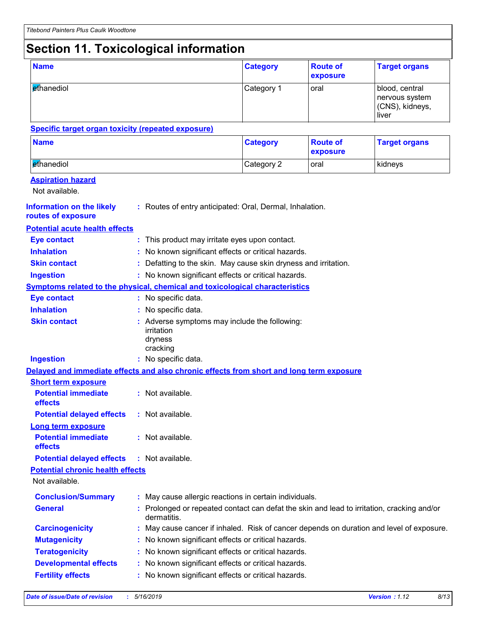# **Section 11. Toxicological information**

| <b>Name</b>                                                                              |  |                                                                                                           | <b>Category</b> | <b>Route of</b><br>exposure | <b>Target organs</b>                                         |  |
|------------------------------------------------------------------------------------------|--|-----------------------------------------------------------------------------------------------------------|-----------------|-----------------------------|--------------------------------------------------------------|--|
| ethanediol                                                                               |  |                                                                                                           | Category 1      | oral                        | blood, central<br>nervous system<br>(CNS), kidneys,<br>liver |  |
| <b>Specific target organ toxicity (repeated exposure)</b>                                |  |                                                                                                           |                 |                             |                                                              |  |
| <b>Name</b>                                                                              |  |                                                                                                           | <b>Category</b> | <b>Route of</b><br>exposure | <b>Target organs</b>                                         |  |
| ethanediol                                                                               |  |                                                                                                           | Category 2      | oral                        | kidneys                                                      |  |
| <b>Aspiration hazard</b><br>Not available.                                               |  |                                                                                                           |                 |                             |                                                              |  |
| <b>Information on the likely</b><br>routes of exposure                                   |  | : Routes of entry anticipated: Oral, Dermal, Inhalation.                                                  |                 |                             |                                                              |  |
| <b>Potential acute health effects</b>                                                    |  |                                                                                                           |                 |                             |                                                              |  |
| <b>Eye contact</b>                                                                       |  | : This product may irritate eyes upon contact.                                                            |                 |                             |                                                              |  |
| <b>Inhalation</b>                                                                        |  | : No known significant effects or critical hazards.                                                       |                 |                             |                                                              |  |
| <b>Skin contact</b>                                                                      |  | : Defatting to the skin. May cause skin dryness and irritation.                                           |                 |                             |                                                              |  |
| <b>Ingestion</b>                                                                         |  | : No known significant effects or critical hazards.                                                       |                 |                             |                                                              |  |
| Symptoms related to the physical, chemical and toxicological characteristics             |  |                                                                                                           |                 |                             |                                                              |  |
| <b>Eye contact</b>                                                                       |  | : No specific data.                                                                                       |                 |                             |                                                              |  |
| <b>Inhalation</b>                                                                        |  | No specific data.                                                                                         |                 |                             |                                                              |  |
| <b>Skin contact</b>                                                                      |  | : Adverse symptoms may include the following:<br>irritation<br>dryness<br>cracking                        |                 |                             |                                                              |  |
| <b>Ingestion</b>                                                                         |  | : No specific data.                                                                                       |                 |                             |                                                              |  |
| Delayed and immediate effects and also chronic effects from short and long term exposure |  |                                                                                                           |                 |                             |                                                              |  |
| <b>Short term exposure</b>                                                               |  |                                                                                                           |                 |                             |                                                              |  |
| <b>Potential immediate</b><br>effects                                                    |  | : Not available.                                                                                          |                 |                             |                                                              |  |
| <b>Potential delayed effects</b>                                                         |  | : Not available.                                                                                          |                 |                             |                                                              |  |
| <b>Long term exposure</b><br><b>Potential immediate</b><br>effects                       |  | : Not available.                                                                                          |                 |                             |                                                              |  |
| <b>Potential delayed effects</b>                                                         |  | : Not available.                                                                                          |                 |                             |                                                              |  |
| <b>Potential chronic health effects</b>                                                  |  |                                                                                                           |                 |                             |                                                              |  |
| Not available.                                                                           |  |                                                                                                           |                 |                             |                                                              |  |
| <b>Conclusion/Summary</b>                                                                |  | : May cause allergic reactions in certain individuals.                                                    |                 |                             |                                                              |  |
| <b>General</b>                                                                           |  | : Prolonged or repeated contact can defat the skin and lead to irritation, cracking and/or<br>dermatitis. |                 |                             |                                                              |  |
| <b>Carcinogenicity</b>                                                                   |  | May cause cancer if inhaled. Risk of cancer depends on duration and level of exposure.                    |                 |                             |                                                              |  |
| <b>Mutagenicity</b>                                                                      |  | No known significant effects or critical hazards.                                                         |                 |                             |                                                              |  |
| <b>Teratogenicity</b>                                                                    |  | No known significant effects or critical hazards.                                                         |                 |                             |                                                              |  |
| <b>Developmental effects</b>                                                             |  | No known significant effects or critical hazards.                                                         |                 |                             |                                                              |  |
| <b>Fertility effects</b>                                                                 |  | No known significant effects or critical hazards.                                                         |                 |                             |                                                              |  |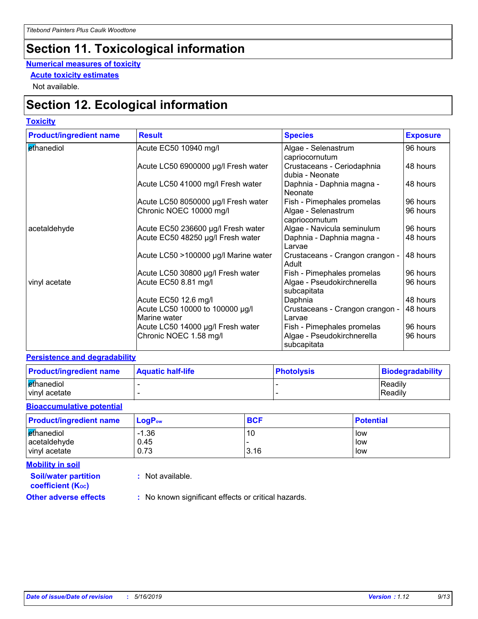# **Section 11. Toxicological information**

#### **Numerical measures of toxicity**

**Acute toxicity estimates**

Not available.

# **Section 12. Ecological information**

#### **Toxicity**

| <b>Product/ingredient name</b> | <b>Result</b>                                   | <b>Species</b>                                | <b>Exposure</b> |
|--------------------------------|-------------------------------------------------|-----------------------------------------------|-----------------|
| ethanediol                     | Acute EC50 10940 mg/l                           | Algae - Selenastrum<br>capriocornutum         | 96 hours        |
|                                | Acute LC50 6900000 µg/l Fresh water             | Crustaceans - Ceriodaphnia<br>dubia - Neonate | 48 hours        |
|                                | Acute LC50 41000 mg/l Fresh water               | Daphnia - Daphnia magna -<br>Neonate          | 48 hours        |
|                                | Acute LC50 8050000 µg/l Fresh water             | Fish - Pimephales promelas                    | 96 hours        |
|                                | Chronic NOEC 10000 mg/l                         | Algae - Selenastrum<br>capriocornutum         | 96 hours        |
| acetaldehyde                   | Acute EC50 236600 µg/l Fresh water              | Algae - Navicula seminulum                    | 96 hours        |
|                                | Acute EC50 48250 µg/l Fresh water               | Daphnia - Daphnia magna -<br>l Larvae         | 48 hours        |
|                                | Acute LC50 >100000 µg/l Marine water            | Crustaceans - Crangon crangon -<br>Adult      | 48 hours        |
|                                | Acute LC50 30800 µg/l Fresh water               | Fish - Pimephales promelas                    | 96 hours        |
| vinyl acetate                  | Acute EC50 8.81 mg/l                            | Algae - Pseudokirchnerella<br>subcapitata     | 96 hours        |
|                                | Acute EC50 12.6 mg/l                            | Daphnia                                       | 48 hours        |
|                                | Acute LC50 10000 to 100000 µg/l<br>Marine water | Crustaceans - Crangon crangon -<br>Larvae     | 48 hours        |
|                                | Acute LC50 14000 µg/l Fresh water               | Fish - Pimephales promelas                    | 96 hours        |
|                                | Chronic NOEC 1.58 mg/l                          | Algae - Pseudokirchnerella<br>subcapitata     | 96 hours        |

#### **Persistence and degradability**

| <b>Product/ingredient name</b> | <b>Aquatic half-life</b> | <b>Photolysis</b> | Biodegradability |
|--------------------------------|--------------------------|-------------------|------------------|
| ethanediol                     |                          |                   | Readily          |
| vinyl acetate                  |                          |                   | Readily          |

#### **Bioaccumulative potential**

| <b>Product/ingredient name</b> | $\mathsf{LogP}_\mathsf{ow}$ | <b>BCF</b> | <b>Potential</b> |
|--------------------------------|-----------------------------|------------|------------------|
| ethanediol<br>acetaldehyde     | $-1.36$<br>0.45             | 10         | low<br>low       |
| vinyl acetate                  | 0.73                        | 3.16       | low              |

**Mobility in soil**

**:** Not available.

**coefficient (KOC)**

**Soil/water partition** 

**Other adverse effects** : No known significant effects or critical hazards.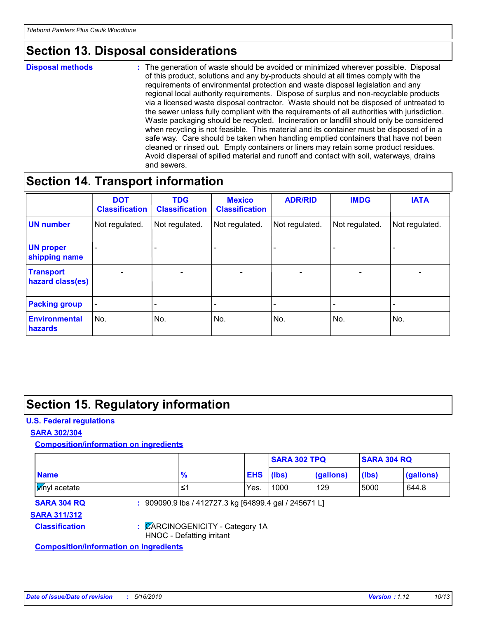# **Section 13. Disposal considerations**

**Disposal methods :**

The generation of waste should be avoided or minimized wherever possible. Disposal of this product, solutions and any by-products should at all times comply with the requirements of environmental protection and waste disposal legislation and any regional local authority requirements. Dispose of surplus and non-recyclable products via a licensed waste disposal contractor. Waste should not be disposed of untreated to the sewer unless fully compliant with the requirements of all authorities with jurisdiction. Waste packaging should be recycled. Incineration or landfill should only be considered when recycling is not feasible. This material and its container must be disposed of in a safe way. Care should be taken when handling emptied containers that have not been cleaned or rinsed out. Empty containers or liners may retain some product residues. Avoid dispersal of spilled material and runoff and contact with soil, waterways, drains and sewers.

### **Section 14. Transport information**

|                                        | <b>DOT</b><br><b>Classification</b> | <b>TDG</b><br><b>Classification</b> | <b>Mexico</b><br><b>Classification</b> | <b>ADR/RID</b>           | <b>IMDG</b>              | <b>IATA</b>     |
|----------------------------------------|-------------------------------------|-------------------------------------|----------------------------------------|--------------------------|--------------------------|-----------------|
| <b>UN number</b>                       | Not regulated.                      | Not regulated.                      | Not regulated.                         | Not regulated.           | Not regulated.           | Not regulated.  |
| <b>UN proper</b><br>shipping name      |                                     |                                     |                                        |                          |                          |                 |
| <b>Transport</b><br>hazard class(es)   | ٠                                   | $\overline{\phantom{0}}$            | $\qquad \qquad \blacksquare$           | $\overline{\phantom{0}}$ | $\overline{\phantom{0}}$ | $\qquad \qquad$ |
| <b>Packing group</b>                   | $\overline{\phantom{a}}$            |                                     |                                        |                          |                          |                 |
| <b>Environmental</b><br><b>hazards</b> | No.                                 | No.                                 | No.                                    | No.                      | No.                      | No.             |

## **Section 15. Regulatory information**

#### **U.S. Federal regulations**

#### **SARA 302/304**

**Composition/information on ingredients**

|                                               |                                                              |                                                       |            | <b>SARA 302 TPQ</b> |           | <b>SARA 304 RQ</b> |           |
|-----------------------------------------------|--------------------------------------------------------------|-------------------------------------------------------|------------|---------------------|-----------|--------------------|-----------|
| <b>Name</b>                                   |                                                              | $\frac{9}{6}$                                         | <b>EHS</b> | (Ibs)               | (gallons) | (Ibs)              | (gallons) |
| <b>Vinyl</b> acetate                          |                                                              | ≤1                                                    | Yes.       | 1000                | 129       | 5000               | 644.8     |
| <b>SARA 304 RQ</b>                            |                                                              | : 909090.9 lbs / 412727.3 kg [64899.4 gal / 245671 L] |            |                     |           |                    |           |
| <b>SARA 311/312</b>                           |                                                              |                                                       |            |                     |           |                    |           |
| <b>Classification</b>                         | : CARCINOGENICITY - Category 1A<br>HNOC - Defatting irritant |                                                       |            |                     |           |                    |           |
| <b>Composition/information on ingredients</b> |                                                              |                                                       |            |                     |           |                    |           |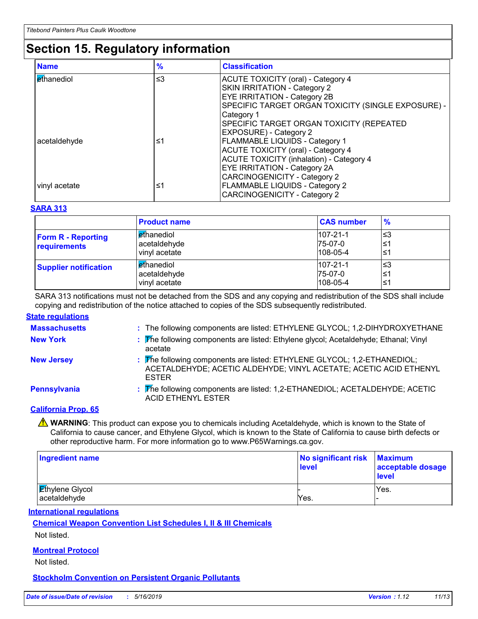# **Section 15. Regulatory information**

| <b>Name</b>          | $\frac{9}{6}$ | <b>Classification</b>                              |
|----------------------|---------------|----------------------------------------------------|
| l <i>e</i> thanediol | $\leq$ 3      | <b>ACUTE TOXICITY (oral) - Category 4</b>          |
|                      |               | SKIN IRRITATION - Category 2                       |
|                      |               | <b>EYE IRRITATION - Category 2B</b>                |
|                      |               | SPECIFIC TARGET ORGAN TOXICITY (SINGLE EXPOSURE) - |
|                      |               | Category 1                                         |
|                      |               | SPECIFIC TARGET ORGAN TOXICITY (REPEATED           |
|                      |               | <b>EXPOSURE) - Category 2</b>                      |
| acetaldehyde         | ≤1            | <b>FLAMMABLE LIQUIDS - Category 1</b>              |
|                      |               | <b>ACUTE TOXICITY (oral) - Category 4</b>          |
|                      |               | <b>ACUTE TOXICITY (inhalation) - Category 4</b>    |
|                      |               | <b>EYE IRRITATION - Category 2A</b>                |
|                      |               | <b>CARCINOGENICITY - Category 2</b>                |
| vinyl acetate        | ≤1            | <b>FLAMMABLE LIQUIDS - Category 2</b>              |
|                      |               | <b>CARCINOGENICITY - Category 2</b>                |

#### **SARA 313**

|                                           | <b>Product name</b>                                | <b>CAS number</b>                              | $\frac{9}{6}$     |
|-------------------------------------------|----------------------------------------------------|------------------------------------------------|-------------------|
| <b>Form R - Reporting</b><br>requirements | <b>Ethanediol</b><br>acetaldehyde<br>vinyl acetate | $107 - 21 - 1$<br>75-07-0<br>$108 - 05 - 4$    | l≤3<br>′≥ا<br>1≥  |
| <b>Supplier notification</b>              | <b>Ethanediol</b><br>acetaldehyde<br>vinyl acetate | $107 - 21 - 1$<br>$I75-07-0$<br>$108 - 05 - 4$ | l≤3<br>′≥ا<br>′≥ا |

SARA 313 notifications must not be detached from the SDS and any copying and redistribution of the SDS shall include copying and redistribution of the notice attached to copies of the SDS subsequently redistributed.

#### **State regulations**

| <b>Massachusetts</b> | : The following components are listed: ETHYLENE GLYCOL; 1,2-DIHYDROXYETHANE                                                                                  |
|----------------------|--------------------------------------------------------------------------------------------------------------------------------------------------------------|
| <b>New York</b>      | : The following components are listed: Ethylene glycol; Acetaldehyde; Ethanal; Vinyl<br>acetate                                                              |
| <b>New Jersey</b>    | : The following components are listed: ETHYLENE GLYCOL; 1,2-ETHANEDIOL;<br>ACETALDEHYDE; ACETIC ALDEHYDE; VINYL ACETATE; ACETIC ACID ETHENYL<br><b>ESTER</b> |
| Pennsylvania         | : The following components are listed: 1,2-ETHANEDIOL; ACETALDEHYDE; ACETIC<br><b>ACID ETHENYL ESTER</b>                                                     |
| $\sim$ $\sim$ $\sim$ |                                                                                                                                                              |

#### **California Prop. 65**

**A** WARNING: This product can expose you to chemicals including Acetaldehyde, which is known to the State of California to cause cancer, and Ethylene Glycol, which is known to the State of California to cause birth defects or other reproductive harm. For more information go to www.P65Warnings.ca.gov.

| <b>Ingredient name</b>                 | No significant risk Maximum<br>level | acceptable dosage<br>level |
|----------------------------------------|--------------------------------------|----------------------------|
| <b>Ethylene Glycol</b><br>acetaldehyde | Yes.                                 | Yes.                       |

**International regulations**

**Chemical Weapon Convention List Schedules I, II & III Chemicals**

Not listed.

#### **Montreal Protocol**

Not listed.

**Stockholm Convention on Persistent Organic Pollutants**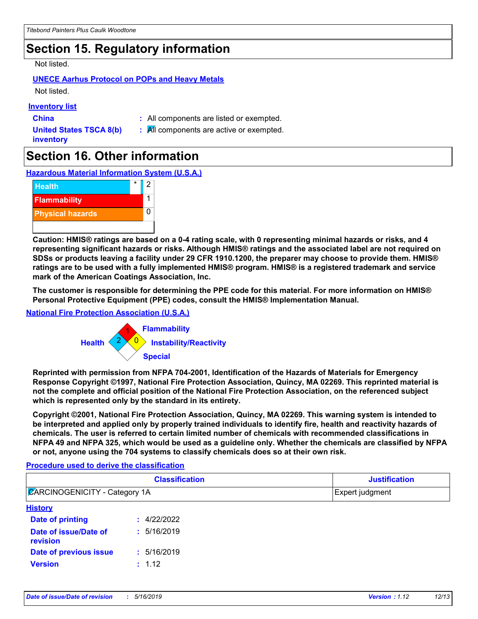# **Section 15. Regulatory information**

#### Not listed.

### **UNECE Aarhus Protocol on POPs and Heavy Metals**

Not listed.

#### **Inventory list**

**China :** All components are listed or exempted.

**United States TSCA 8(b) inventory**

**:** All components are active or exempted.

# **Section 16. Other information**

**Hazardous Material Information System (U.S.A.)**



**Caution: HMIS® ratings are based on a 0-4 rating scale, with 0 representing minimal hazards or risks, and 4 representing significant hazards or risks. Although HMIS® ratings and the associated label are not required on SDSs or products leaving a facility under 29 CFR 1910.1200, the preparer may choose to provide them. HMIS® ratings are to be used with a fully implemented HMIS® program. HMIS® is a registered trademark and service mark of the American Coatings Association, Inc.**

**The customer is responsible for determining the PPE code for this material. For more information on HMIS® Personal Protective Equipment (PPE) codes, consult the HMIS® Implementation Manual.**

#### **National Fire Protection Association (U.S.A.)**



**Reprinted with permission from NFPA 704-2001, Identification of the Hazards of Materials for Emergency Response Copyright ©1997, National Fire Protection Association, Quincy, MA 02269. This reprinted material is not the complete and official position of the National Fire Protection Association, on the referenced subject which is represented only by the standard in its entirety.**

**Copyright ©2001, National Fire Protection Association, Quincy, MA 02269. This warning system is intended to be interpreted and applied only by properly trained individuals to identify fire, health and reactivity hazards of chemicals. The user is referred to certain limited number of chemicals with recommended classifications in NFPA 49 and NFPA 325, which would be used as a guideline only. Whether the chemicals are classified by NFPA or not, anyone using the 704 systems to classify chemicals does so at their own risk.**

#### **Procedure used to derive the classification**

| <b>Classification</b><br><b>ZARCINOGENICITY - Category 1A</b> |             | <b>Justification</b><br>Expert judgment |  |
|---------------------------------------------------------------|-------------|-----------------------------------------|--|
|                                                               |             |                                         |  |
| Date of printing                                              | : 4/22/2022 |                                         |  |
| Date of issue/Date of<br>revision                             | : 5/16/2019 |                                         |  |
| Date of previous issue                                        | : 5/16/2019 |                                         |  |
| <b>Version</b>                                                | : 1.12      |                                         |  |